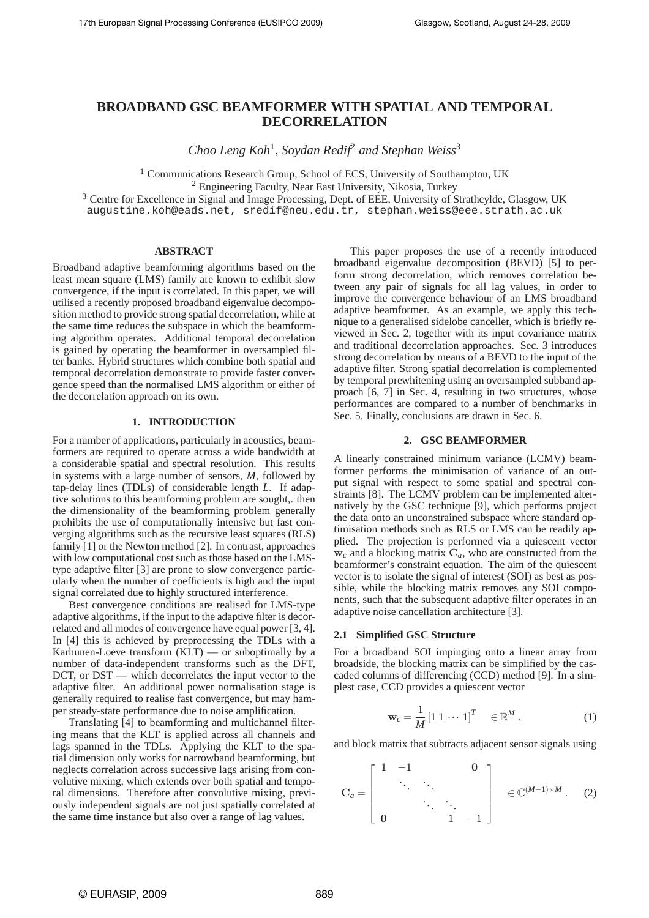# **BROADBAND GSC BEAMFORMER WITH SPATIAL AND TEMPORAL DECORRELATION**

*Choo Leng Koh*<sup>1</sup> *, Soydan Redif*<sup>2</sup> *and Stephan Weiss*<sup>3</sup>

<sup>1</sup> Communications Research Group, School of ECS, University of Southampton, UK

<sup>2</sup> Engineering Faculty, Near East University, Nikosia, Turkey

<sup>3</sup> Centre for Excellence in Signal and Image Processing, Dept. of EEE, University of Strathcylde, Glasgow, UK augustine.koh@eads.net, sredif@neu.edu.tr, stephan.weiss@eee.strath.ac.uk

### **ABSTRACT**

Broadband adaptive beamforming algorithms based on the least mean square (LMS) family are known to exhibit slow convergence, if the input is correlated. In this paper, we will utilised a recently proposed broadband eigenvalue decomposition method to provide strong spatial decorrelation, while at the same time reduces the subspace in which the beamforming algorithm operates. Additional temporal decorrelation is gained by operating the beamformer in oversampled filter banks. Hybrid structures which combine both spatial and temporal decorrelation demonstrate to provide faster convergence speed than the normalised LMS algorithm or either of the decorrelation approach on its own.

# **1. INTRODUCTION**

For a number of applications, particularly in acoustics, beamformers are required to operate across a wide bandwidth at a considerable spatial and spectral resolution. This results in systems with a large number of sensors, *M*, followed by tap-delay lines (TDLs) of considerable length *L*. If adaptive solutions to this beamforming problem are sought,. then the dimensionality of the beamforming problem generally prohibits the use of computationally intensive but fast converging algorithms such as the recursive least squares (RLS) family [1] or the Newton method [2]. In contrast, approaches with low computational cost such as those based on the LMStype adaptive filter [3] are prone to slow convergence particularly when the number of coefficients is high and the input signal correlated due to highly structured interference.

Best convergence conditions are realised for LMS-type adaptive algorithms, if the input to the adaptive filter is decorrelated and all modes of convergence have equal power [3, 4]. In [4] this is achieved by preprocessing the TDLs with a Karhunen-Loeve transform (KLT) — or suboptimally by a number of data-independent transforms such as the DFT, DCT, or DST — which decorrelates the input vector to the adaptive filter. An additional power normalisation stage is generally required to realise fast convergence, but may hamper steady-state performance due to noise amplification.

Translating [4] to beamforming and multichannel filtering means that the KLT is applied across all channels and lags spanned in the TDLs. Applying the KLT to the spatial dimension only works for narrowband beamforming, but neglects correlation across successive lags arising from convolutive mixing, which extends over both spatial and temporal dimensions. Therefore after convolutive mixing, previously independent signals are not just spatially correlated at the same time instance but also over a range of lag values.

This paper proposes the use of a recently introduced broadband eigenvalue decomposition (BEVD) [5] to perform strong decorrelation, which removes correlation between any pair of signals for all lag values, in order to improve the convergence behaviour of an LMS broadband adaptive beamformer. As an example, we apply this technique to a generalised sidelobe canceller, which is briefly reviewed in Sec. 2, together with its input covariance matrix and traditional decorrelation approaches. Sec. 3 introduces strong decorrelation by means of a BEVD to the input of the adaptive filter. Strong spatial decorrelation is complemented by temporal prewhitening using an oversampled subband approach [6, 7] in Sec. 4, resulting in two structures, whose performances are compared to a number of benchmarks in Sec. 5. Finally, conclusions are drawn in Sec. 6.

### **2. GSC BEAMFORMER**

A linearly constrained minimum variance (LCMV) beamformer performs the minimisation of variance of an output signal with respect to some spatial and spectral constraints [8]. The LCMV problem can be implemented alternatively by the GSC technique [9], which performs project the data onto an unconstrained subspace where standard optimisation methods such as RLS or LMS can be readily applied. The projection is performed via a quiescent vector  $w_c$  and a blocking matrix  $C_a$ , who are constructed from the beamformer's constraint equation. The aim of the quiescent vector is to isolate the signal of interest (SOI) as best as possible, while the blocking matrix removes any SOI components, such that the subsequent adaptive filter operates in an adaptive noise cancellation architecture [3].

### **2.1 Simplified GSC Structure**

For a broadband SOI impinging onto a linear array from broadside, the blocking matrix can be simplified by the cascaded columns of differencing (CCD) method [9]. In a simplest case, CCD provides a quiescent vector

$$
\mathbf{w}_c = \frac{1}{M} \begin{bmatrix} 1 & 1 & \cdots & 1 \end{bmatrix}^T \in \mathbb{R}^M.
$$
 (1)

and block matrix that subtracts adjacent sensor signals using

$$
\mathbf{C}_{a} = \left[ \begin{array}{cccc} 1 & -1 & & & \mathbf{0} \\ & \ddots & \ddots & & \\ & & \ddots & \ddots & \\ \mathbf{0} & & & 1 & -1 \end{array} \right] \in \mathbb{C}^{(M-1)\times M}. \quad (2)
$$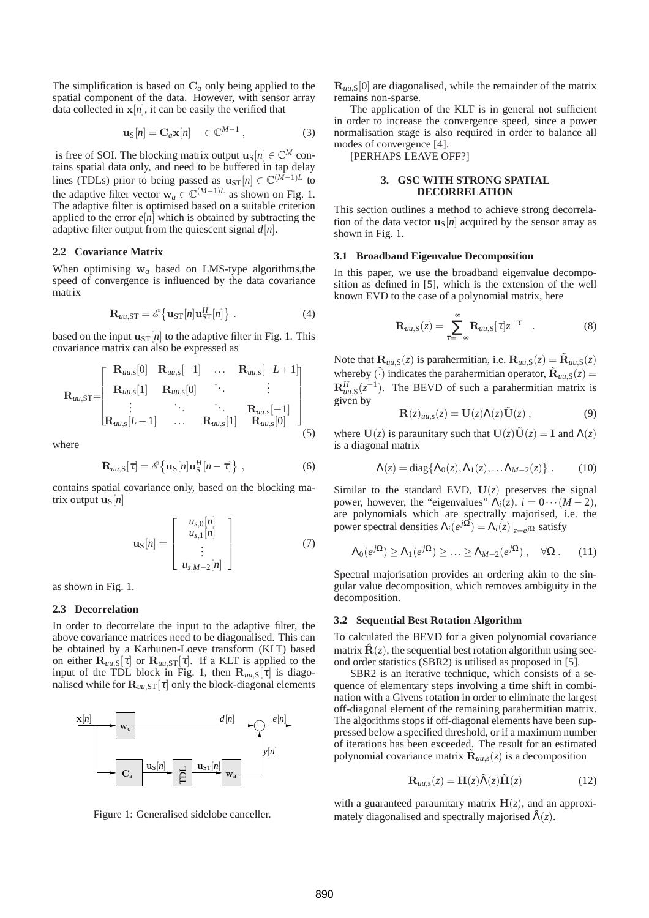The simplification is based on C*<sup>a</sup>* only being applied to the spatial component of the data. However, with sensor array data collected in  $x[n]$ , it can be easily the verified that

$$
\mathbf{u}_{\mathrm{S}}[n] = \mathbf{C}_a \mathbf{x}[n] \quad \in \mathbb{C}^{M-1} \,, \tag{3}
$$

is free of SOI. The blocking matrix output  $\mathbf{u}_{\text{S}}[n] \in \mathbb{C}^{M}$  contains spatial data only, and need to be buffered in tap delay lines (TDLs) prior to being passed as  $u_{ST}[n] \in \mathbb{C}^{(M-1)L}$  to the adaptive filter vector  $w_a \in \mathbb{C}^{(M-1)L}$  as shown on Fig. 1. The adaptive filter is optimised based on a suitable criterion applied to the error  $e[n]$  which is obtained by subtracting the adaptive filter output from the quiescent signal *d*[*n*].

# **2.2 Covariance Matrix**

When optimising w*<sup>a</sup>* based on LMS-type algorithms,the speed of convergence is influenced by the data covariance matrix

$$
\mathbf{R}_{uu,\mathrm{ST}} = \mathscr{E}\left\{\mathbf{u}_{\mathrm{ST}}[n]\mathbf{u}_{\mathrm{ST}}^H[n]\right\} \,. \tag{4}
$$

based on the input  $u_{ST}[n]$  to the adaptive filter in Fig. 1. This covariance matrix can also be expressed as

$$
\mathbf{R}_{uu,\mathrm{ST}}=\begin{bmatrix}\n\mathbf{R}_{uu,\mathrm{s}}[0] & \mathbf{R}_{uu,\mathrm{s}}[-1] & \dots & \mathbf{R}_{uu,\mathrm{s}}[-L+1] \\
\mathbf{R}_{uu,\mathrm{s}}[1] & \mathbf{R}_{uu,\mathrm{s}}[0] & \ddots & \vdots \\
\vdots & \ddots & \ddots & \mathbf{R}_{uu,\mathrm{s}}[-1] \\
\mathbf{R}_{uu,\mathrm{s}}[L-1] & \dots & \mathbf{R}_{uu,\mathrm{s}}[1] & \mathbf{R}_{uu,\mathrm{s}}[0]\n\end{bmatrix}
$$
\n(5)

where

$$
\mathbf{R}_{uu,\mathrm{S}}[\tau] = \mathcal{E}\left\{\mathbf{u}_{\mathrm{S}}[n]\mathbf{u}_{\mathrm{S}}^H[n-\tau]\right\},\tag{6}
$$

contains spatial covariance only, based on the blocking matrix output  $\mathbf{u}_{\text{S}}[n]$ 

$$
\mathbf{u}_{\mathrm{S}}[n] = \left[\begin{array}{c} u_{s,0}[n] \\ u_{s,1}[n] \\ \vdots \\ u_{s,M-2}[n] \end{array}\right] \tag{7}
$$

as shown in Fig. 1.

# **2.3 Decorrelation**

In order to decorrelate the input to the adaptive filter, the above covariance matrices need to be diagonalised. This can be obtained by a Karhunen-Loeve transform (KLT) based on either  $\mathbf{R}_{uu}$ ,  $[\tau]$  or  $\mathbf{R}_{uu}$ ,  $S[\tau]$ . If a KLT is applied to the input of the TDL block in Fig. 1, then  $\mathbf{R}_{uu}$ ,  $\bar{z}$ [ $\bar{z}$ ] is diagonalised while for  $\mathbf{R}_{uu,\text{ST}}[\tau]$  only the block-diagonal elements



Figure 1: Generalised sidelobe canceller.

 $\mathbf{R}_{uu,s}[0]$  are diagonalised, while the remainder of the matrix remains non-sparse.

The application of the KLT is in general not sufficient in order to increase the convergence speed, since a power normalisation stage is also required in order to balance all modes of convergence [4].

[PERHAPS LEAVE OFF?]

# **3. GSC WITH STRONG SPATIAL DECORRELATION**

This section outlines a method to achieve strong decorrelation of the data vector  $\mathbf{u}_{\text{S}}[n]$  acquired by the sensor array as shown in Fig. 1.

# **3.1 Broadband Eigenvalue Decomposition**

In this paper, we use the broadband eigenvalue decomposition as defined in [5], which is the extension of the well known EVD to the case of a polynomial matrix, here

$$
\mathbf{R}_{uu,\mathrm{S}}(z) = \sum_{\tau=-\infty}^{\infty} \mathbf{R}_{uu,\mathrm{S}}[\tau] z^{-\tau} \quad . \tag{8}
$$

Note that  $\mathbf{R}_{uu,S}(z)$  is parahermitian, i.e.  $\mathbf{R}_{uu,S}(z) = \tilde{\mathbf{R}}_{uu,S}(z)$ whereby  $\tilde{\cdot}$  indicates the parahermitian operator,  $\tilde{\mathbf{R}}_{uu,s}(z)$  =  $\mathbf{R}^H_{uu,s}(z^{-1})$ . The BEVD of such a parahermitian matrix is given by

$$
\mathbf{R}(z)_{uu,s}(z) = \mathbf{U}(z)\Lambda(z)\tilde{\mathbf{U}}(z) , \qquad (9)
$$

where  $U(z)$  is paraunitary such that  $U(z)\tilde{U}(z) = I$  and  $\Lambda(z)$ is a diagonal matrix

$$
\Lambda(z) = \text{diag}\{\Lambda_0(z), \Lambda_1(z), \dots \Lambda_{M-2}(z)\} \ . \tag{10}
$$

Similar to the standard EVD,  $U(z)$  preserves the signal power, however, the "eigenvalues"  $\Lambda_i(z)$ ,  $i = 0 \cdots (M-2)$ , are polynomials which are spectrally majorised, i.e. the power spectral densities  $\Lambda_i(e^{j\Omega}) = \Lambda_i(z)|_{z=e^{j\Omega}}$  satisfy

$$
\Lambda_0(e^{j\Omega}) \ge \Lambda_1(e^{j\Omega}) \ge \ldots \ge \Lambda_{M-2}(e^{j\Omega}), \quad \forall \Omega \, . \tag{11}
$$

Spectral majorisation provides an ordering akin to the singular value decomposition, which removes ambiguity in the decomposition.

#### **3.2 Sequential Best Rotation Algorithm**

To calculated the BEVD for a given polynomial covariance matrix  $\hat{\mathbf{R}}(z)$ , the sequential best rotation algorithm using second order statistics (SBR2) is utilised as proposed in [5].

SBR2 is an iterative technique, which consists of a sequence of elementary steps involving a time shift in combination with a Givens rotation in order to eliminate the largest off-diagonal element of the remaining parahermitian matrix. The algorithms stops if off-diagonal elements have been suppressed below a specified threshold, or if a maximum number of iterations has been exceeded. The result for an estimated polynomial covariance matrix  $\tilde{\mathbf{R}}_{uu,s}(z)$  is a decomposition

$$
\mathbf{R}_{uu,s}(z) = \mathbf{H}(z)\hat{\Lambda}(z)\tilde{\mathbf{H}}(z)
$$
 (12)

with a guaranteed paraunitary matrix  $H(z)$ , and an approximately diagonalised and spectrally majorised  $\hat{\Lambda}(z)$ .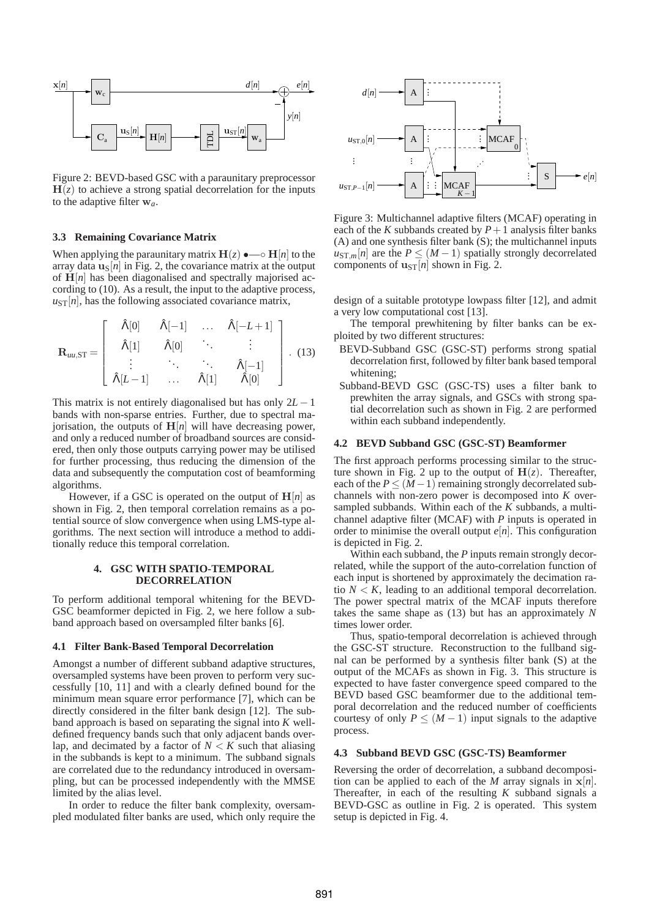

Figure 2: BEVD-based GSC with a paraunitary preprocessor  $H(z)$  to achieve a strong spatial decorrelation for the inputs to the adaptive filter w*a*.

# **3.3 Remaining Covariance Matrix**

When applying the paraunitary matrix  $H(z) \rightarrow -\infty H[n]$  to the array data  $\mathbf{u}_{\text{S}}[n]$  in Fig. 2, the covariance matrix at the output of  $H[n]$  has been diagonalised and spectrally majorised according to (10). As a result, the input to the adaptive process,  $u_{ST}[n]$ , has the following associated covariance matrix,

$$
\mathbf{R}_{uu,\mathrm{ST}} = \left[ \begin{array}{cccc} \hat{\Lambda}[0] & \hat{\Lambda}[-1] & \dots & \hat{\Lambda}[-L+1] \\ \hat{\Lambda}[1] & \hat{\Lambda}[0] & \ddots & \vdots \\ \vdots & \ddots & \ddots & \hat{\Lambda}[-1] \\ \hat{\Lambda}[L-1] & \dots & \hat{\Lambda}[1] & \hat{\Lambda}[0] \end{array} \right]. \tag{13}
$$

This matrix is not entirely diagonalised but has only 2*L* − 1 bands with non-sparse entries. Further, due to spectral majorisation, the outputs of  $H[n]$  will have decreasing power, and only a reduced number of broadband sources are considered, then only those outputs carrying power may be utilised for further processing, thus reducing the dimension of the data and subsequently the computation cost of beamforming algorithms.

However, if a GSC is operated on the output of  $H[n]$  as shown in Fig. 2, then temporal correlation remains as a potential source of slow convergence when using LMS-type algorithms. The next section will introduce a method to additionally reduce this temporal correlation.

### **4. GSC WITH SPATIO-TEMPORAL DECORRELATION**

To perform additional temporal whitening for the BEVD-GSC beamformer depicted in Fig. 2, we here follow a subband approach based on oversampled filter banks [6].

# **4.1 Filter Bank-Based Temporal Decorrelation**

Amongst a number of different subband adaptive structures, oversampled systems have been proven to perform very successfully [10, 11] and with a clearly defined bound for the minimum mean square error performance [7], which can be directly considered in the filter bank design [12]. The subband approach is based on separating the signal into *K* welldefined frequency bands such that only adjacent bands overlap, and decimated by a factor of  $N < K$  such that aliasing in the subbands is kept to a minimum. The subband signals are correlated due to the redundancy introduced in oversampling, but can be processed independently with the MMSE limited by the alias level.

In order to reduce the filter bank complexity, oversampled modulated filter banks are used, which only require the



Figure 3: Multichannel adaptive filters (MCAF) operating in each of the *K* subbands created by  $P + 1$  analysis filter banks (A) and one synthesis filter bank (S); the multichannel inputs  $u_{ST,m}[n]$  are the  $P \leq (M-1)$  spatially strongly decorrelated components of  $\mathbf{u}_{ST}[n]$  shown in Fig. 2.

design of a suitable prototype lowpass filter [12], and admit a very low computational cost [13].

The temporal prewhitening by filter banks can be exploited by two different structures:

- BEVD-Subband GSC (GSC-ST) performs strong spatial decorrelation first, followed by filter bank based temporal whitening;
- Subband-BEVD GSC (GSC-TS) uses a filter bank to prewhiten the array signals, and GSCs with strong spatial decorrelation such as shown in Fig. 2 are performed within each subband independently.

### **4.2 BEVD Subband GSC (GSC-ST) Beamformer**

The first approach performs processing similar to the structure shown in Fig. 2 up to the output of  $H(z)$ . Thereafter, each of the  $P \leq (M-1)$  remaining strongly decorrelated subchannels with non-zero power is decomposed into *K* oversampled subbands. Within each of the *K* subbands, a multichannel adaptive filter (MCAF) with *P* inputs is operated in order to minimise the overall output  $e[n]$ . This configuration is depicted in Fig. 2.

Within each subband, the *P* inputs remain strongly decorrelated, while the support of the auto-correlation function of each input is shortened by approximately the decimation ratio  $N < K$ , leading to an additional temporal decorrelation. The power spectral matrix of the MCAF inputs therefore takes the same shape as (13) but has an approximately *N* times lower order.

Thus, spatio-temporal decorrelation is achieved through the GSC-ST structure. Reconstruction to the fullband signal can be performed by a synthesis filter bank (S) at the output of the MCAFs as shown in Fig. 3. This structure is expected to have faster convergence speed compared to the BEVD based GSC beamformer due to the additional temporal decorrelation and the reduced number of coefficients courtesy of only  $P \leq (M-1)$  input signals to the adaptive process.

### **4.3 Subband BEVD GSC (GSC-TS) Beamformer**

Reversing the order of decorrelation, a subband decomposition can be applied to each of the *M* array signals in  $x[n]$ . Thereafter, in each of the resulting *K* subband signals a BEVD-GSC as outline in Fig. 2 is operated. This system setup is depicted in Fig. 4.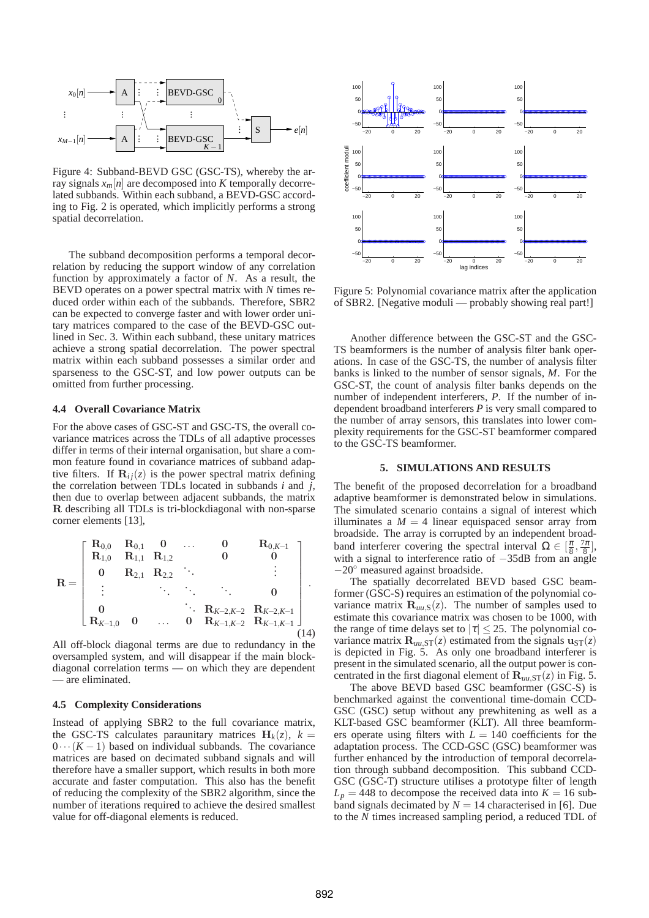

Figure 4: Subband-BEVD GSC (GSC-TS), whereby the array signals  $x_m[n]$  are decomposed into *K* temporally decorrelated subbands. Within each subband, a BEVD-GSC according to Fig. 2 is operated, which implicitly performs a strong spatial decorrelation.

The subband decomposition performs a temporal decorrelation by reducing the support window of any correlation function by approximately a factor of *N*. As a result, the BEVD operates on a power spectral matrix with *N* times reduced order within each of the subbands. Therefore, SBR2 can be expected to converge faster and with lower order unitary matrices compared to the case of the BEVD-GSC outlined in Sec. 3. Within each subband, these unitary matrices achieve a strong spatial decorrelation. The power spectral matrix within each subband possesses a similar order and sparseness to the GSC-ST, and low power outputs can be omitted from further processing.

# **4.4 Overall Covariance Matrix**

For the above cases of GSC-ST and GSC-TS, the overall covariance matrices across the TDLs of all adaptive processes differ in terms of their internal organisation, but share a common feature found in covariance matrices of subband adaptive filters. If  $\mathbf{R}_{ij}(z)$  is the power spectral matrix defining the correlation between TDLs located in subbands *i* and *j*, then due to overlap between adjacent subbands, the matrix R describing all TDLs is tri-blockdiagonal with non-sparse corner elements [13],

$$
\mathbf{R} = \begin{bmatrix} \mathbf{R}_{0,0} & \mathbf{R}_{0,1} & \mathbf{0} & \dots & \mathbf{0} & \mathbf{R}_{0,K-1} \\ \mathbf{R}_{1,0} & \mathbf{R}_{1,1} & \mathbf{R}_{1,2} & & \mathbf{0} & & \mathbf{0} \\ \mathbf{0} & \mathbf{R}_{2,1} & \mathbf{R}_{2,2} & \ddots & & \vdots \\ \vdots & & \ddots & \ddots & \ddots & \mathbf{0} \\ \mathbf{0} & & & \mathbf{R}_{K-2,K-2} & \mathbf{R}_{K-2,K-1} \\ \mathbf{R}_{K-1,0} & \mathbf{0} & \dots & \mathbf{0} & \mathbf{R}_{K-1,K-2} & \mathbf{R}_{K-1,K-1} \end{bmatrix}.
$$

All off-block diagonal terms are due to redundancy in the oversampled system, and will disappear if the main blockdiagonal correlation terms — on which they are dependent — are eliminated.

### **4.5 Complexity Considerations**

Instead of applying SBR2 to the full covariance matrix, the GSC-TS calculates paraunitary matrices  $H_k(z)$ ,  $k =$  $0 \cdots (K-1)$  based on individual subbands. The covariance matrices are based on decimated subband signals and will therefore have a smaller support, which results in both more accurate and faster computation. This also has the benefit of reducing the complexity of the SBR2 algorithm, since the number of iterations required to achieve the desired smallest value for off-diagonal elements is reduced.



Figure 5: Polynomial covariance matrix after the application of SBR2. [Negative moduli — probably showing real part!]

Another difference between the GSC-ST and the GSC-TS beamformers is the number of analysis filter bank operations. In case of the GSC-TS, the number of analysis filter banks is linked to the number of sensor signals, *M*. For the GSC-ST, the count of analysis filter banks depends on the number of independent interferers, *P*. If the number of independent broadband interferers *P* is very small compared to the number of array sensors, this translates into lower complexity requirements for the GSC-ST beamformer compared to the GSC-TS beamformer.

### **5. SIMULATIONS AND RESULTS**

The benefit of the proposed decorrelation for a broadband adaptive beamformer is demonstrated below in simulations. The simulated scenario contains a signal of interest which illuminates a  $M = 4$  linear equispaced sensor array from broadside. The array is corrupted by an independent broadband interferer covering the spectral interval  $\Omega \in [\frac{\pi}{8}, \frac{7\pi}{8}]$ , with a signal to interference ratio of −35dB from an angle −20◦ measured against broadside.

The spatially decorrelated BEVD based GSC beamformer (GSC-S) requires an estimation of the polynomial covariance matrix  $\mathbf{R}_{uu,S}(z)$ . The number of samples used to estimate this covariance matrix was chosen to be 1000, with the range of time delays set to  $|\tau| \leq 25$ . The polynomial covariance matrix  $\mathbf{R}_{uu,ST}(z)$  estimated from the signals  $\mathbf{u}_{ST}(z)$ is depicted in Fig. 5. As only one broadband interferer is present in the simulated scenario, all the output power is concentrated in the first diagonal element of  $\mathbf{R}_{uu,ST}(z)$  in Fig. 5.

The above BEVD based GSC beamformer (GSC-S) is benchmarked against the conventional time-domain CCD-GSC (GSC) setup without any prewhitening as well as a KLT-based GSC beamformer (KLT). All three beamformers operate using filters with  $L = 140$  coefficients for the adaptation process. The CCD-GSC (GSC) beamformer was further enhanced by the introduction of temporal decorrelation through subband decomposition. This subband CCD-GSC (GSC-T) structure utilises a prototype filter of length  $L_p = 448$  to decompose the received data into  $K = 16$  subband signals decimated by  $N = 14$  characterised in [6]. Due to the *N* times increased sampling period, a reduced TDL of